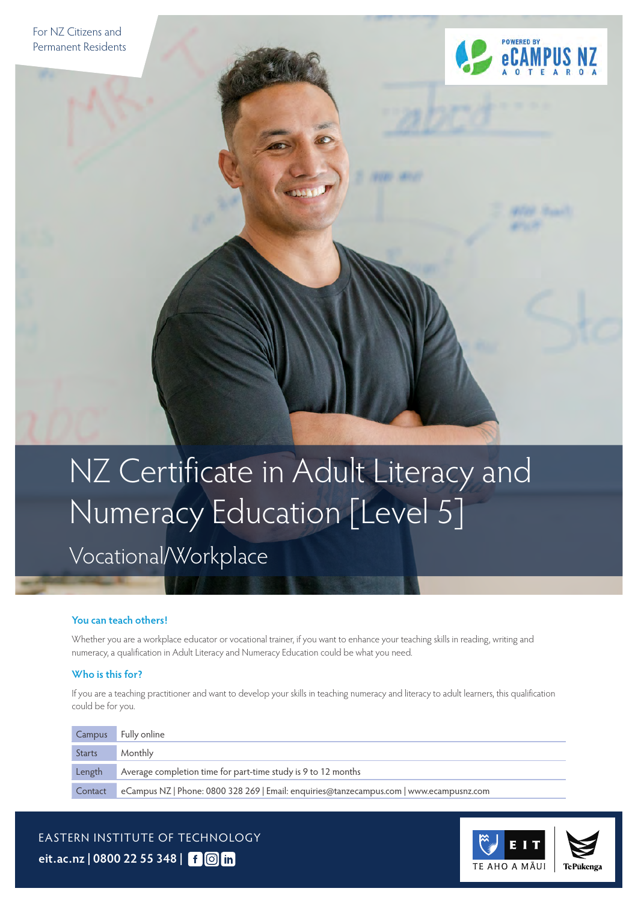

# NZ Certificate in Adult Literacy and Numeracy Education [Level 5]

# Vocational/Workplace

#### **You can teach others!**

Whether you are a workplace educator or vocational trainer, if you want to enhance your teaching skills in reading, writing and numeracy, a qualification in Adult Literacy and Numeracy Education could be what you need.

#### **Who is this for?**

If you are a teaching practitioner and want to develop your skills in teaching numeracy and literacy to adult learners, this qualification could be for you.

| Campus        | Fully online                                                                            |
|---------------|-----------------------------------------------------------------------------------------|
| <b>Starts</b> | Monthly                                                                                 |
| Length        | Average completion time for part-time study is 9 to 12 months                           |
| Contact       | eCampus NZ   Phone: 0800 328 269   Email: enquiries@tanzecampus.com   www.ecampusnz.com |

EASTERN INSTITUTE OF TECHNOLOGY **[eit.ac.nz](https://www.eit.ac.nz) | 0800 22 55 348 |**

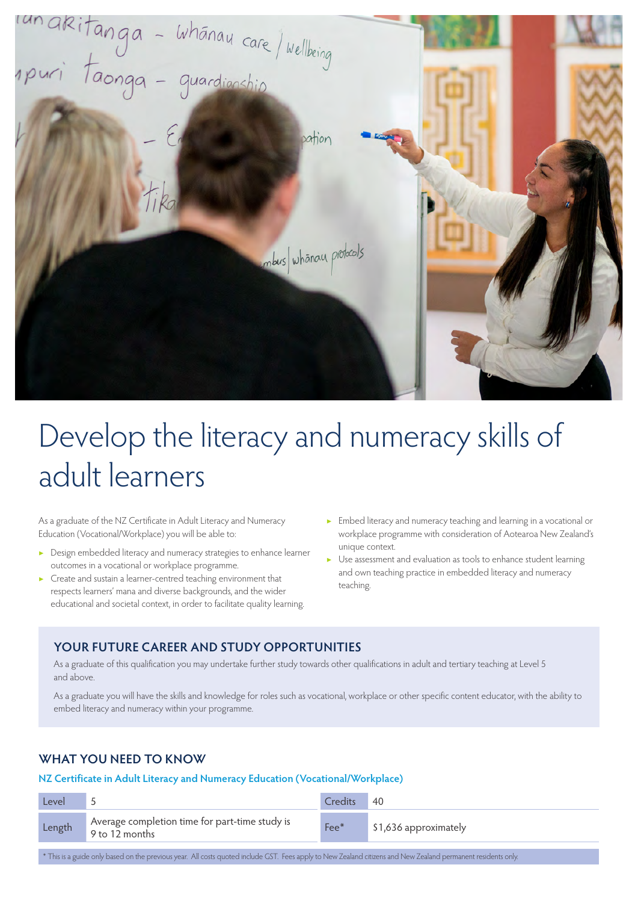

# Develop the literacy and numeracy skills of adult learners

As a graduate of the NZ Certificate in Adult Literacy and Numeracy Education (Vocational/Workplace) you will be able to:

- ▶ Design embedded literacy and numeracy strategies to enhance learner outcomes in a vocational or workplace programme.
- ▶ Create and sustain a learner-centred teaching environment that respects learners' mana and diverse backgrounds, and the wider educational and societal context, in order to facilitate quality learning.
- ▶ Embed literacy and numeracy teaching and learning in a vocational or workplace programme with consideration of Aotearoa New Zealand's unique context.
- ▶ Use assessment and evaluation as tools to enhance student learning and own teaching practice in embedded literacy and numeracy teaching.

#### **YOUR FUTURE CAREER AND STUDY OPPORTUNITIES**

As a graduate of this qualification you may undertake further study towards other qualifications in adult and tertiary teaching at Level 5 and above.

As a graduate you will have the skills and knowledge for roles such as vocational, workplace or other specific content educator, with the ability to embed literacy and numeracy within your programme.

#### **WHAT YOU NEED TO KNOW**

#### **NZ Certificate in Adult Literacy and Numeracy Education (Vocational/Workplace)**

| Level  |                                                                  | Credits | 40                    |
|--------|------------------------------------------------------------------|---------|-----------------------|
| Length | Average completion time for part-time study is<br>9 to 12 months | Fee*    | \$1,636 approximately |

\* This is a guide only based on the previous year. All costs quoted include GST. Fees apply to New Zealand citizens and New Zealand permanent residents only.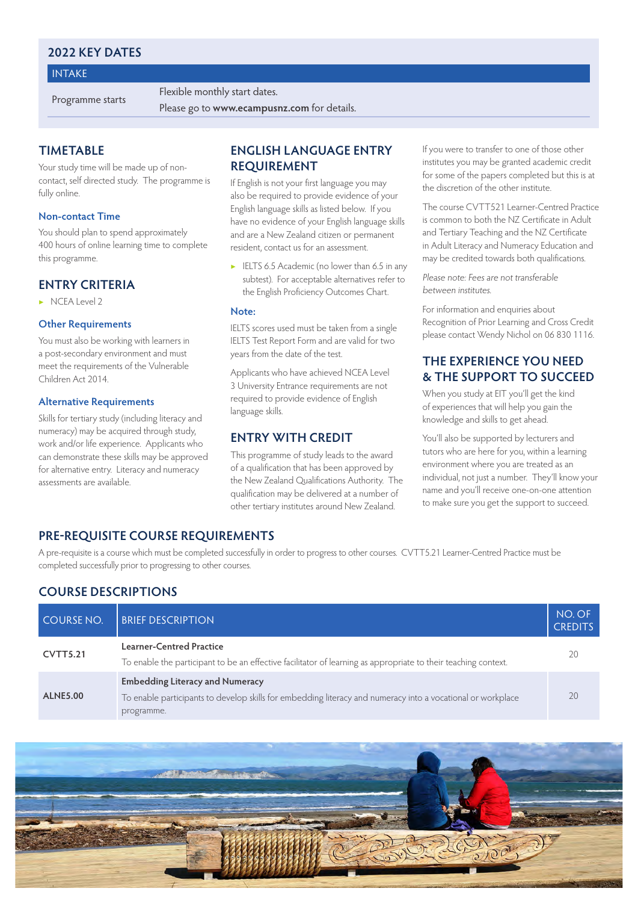#### **2022 KEY DATES**

#### INTAKE

Programme starts Flexible monthly start dates.

Please go to **[www.ecampusnz.com](https://www.ecampusnz.com/teacher-education/new-zealand-certificate-adult-literacy-numeracy-education-vocational-workplace-level-5/)** for details.

#### **TIMETABLE**

Your study time will be made up of noncontact, self directed study. The programme is fully online.

#### **Non-contact Time**

You should plan to spend approximately 400 hours of online learning time to complete this programme.

#### **ENTRY CRITERIA**

▶ NCEA Level 2

#### **Other Requirements**

You must also be working with learners in a post-secondary environment and must meet the requirements of the Vulnerable Children Act 2014.

#### **Alternative Requirements**

Skills for tertiary study (including literacy and numeracy) may be acquired through study, work and/or life experience. Applicants who can demonstrate these skills may be approved for alternative entry. Literacy and numeracy assessments are available.

#### **ENGLISH LANGUAGE ENTRY REQUIREMENT**

If English is not your first language you may also be required to provide evidence of your English language skills as listed below. If you have no evidence of your English language skills and are a New Zealand citizen or permanent resident, contact us for an assessment.

▶ IELTS 6.5 Academic (no lower than 6.5 in any subtest). For acceptable alternatives refer to the English Proficiency Outcomes Chart.

#### **Note:**

IELTS scores used must be taken from a single IELTS Test Report Form and are valid for two years from the date of the test.

Applicants who have achieved NCEA Level 3 University Entrance requirements are not required to provide evidence of English language skills.

#### **ENTRY WITH CREDIT**

This programme of study leads to the award of a qualification that has been approved by the New Zealand Qualifications Authority. The qualification may be delivered at a number of other tertiary institutes around New Zealand.

If you were to transfer to one of those other institutes you may be granted academic credit for some of the papers completed but this is at the discretion of the other institute.

The course CVTT521 Learner-Centred Practice is common to both the NZ Certificate in Adult and Tertiary Teaching and the NZ Certificate in Adult Literacy and Numeracy Education and may be credited towards both qualifications.

Please note: Fees are not transferable between institutes.

For information and enquiries about Recognition of Prior Learning and Cross Credit please contact Wendy Nichol on 06 830 1116.

#### **THE EXPERIENCE YOU NEED & THE SUPPORT TO SUCCEED**

When you study at EIT you'll get the kind of experiences that will help you gain the knowledge and skills to get ahead.

You'll also be supported by lecturers and tutors who are here for you, within a learning environment where you are treated as an individual, not just a number. They'll know your name and you'll receive one-on-one attention to make sure you get the support to succeed.

#### **PRE-REQUISITE COURSE REQUIREMENTS**

A pre-requisite is a course which must be completed successfully in order to progress to other courses. CVTT5.21 Learner-Centred Practice must be completed successfully prior to progressing to other courses.

#### **COURSE DESCRIPTIONS**

| <b>COURSE NO.</b>                                                                                                                                             | <b>BRIEF DESCRIPTION</b>                                                                                                                                            | NO. OF<br><b>CREDITS</b> |
|---------------------------------------------------------------------------------------------------------------------------------------------------------------|---------------------------------------------------------------------------------------------------------------------------------------------------------------------|--------------------------|
| Learner-Centred Practice<br><b>CVTT5.21</b><br>To enable the participant to be an effective facilitator of learning as appropriate to their teaching context. |                                                                                                                                                                     | 20                       |
| <b>ALNE5.00</b>                                                                                                                                               | <b>Embedding Literacy and Numeracy</b><br>To enable participants to develop skills for embedding literacy and numeracy into a vocational or workplace<br>programme. | 20                       |

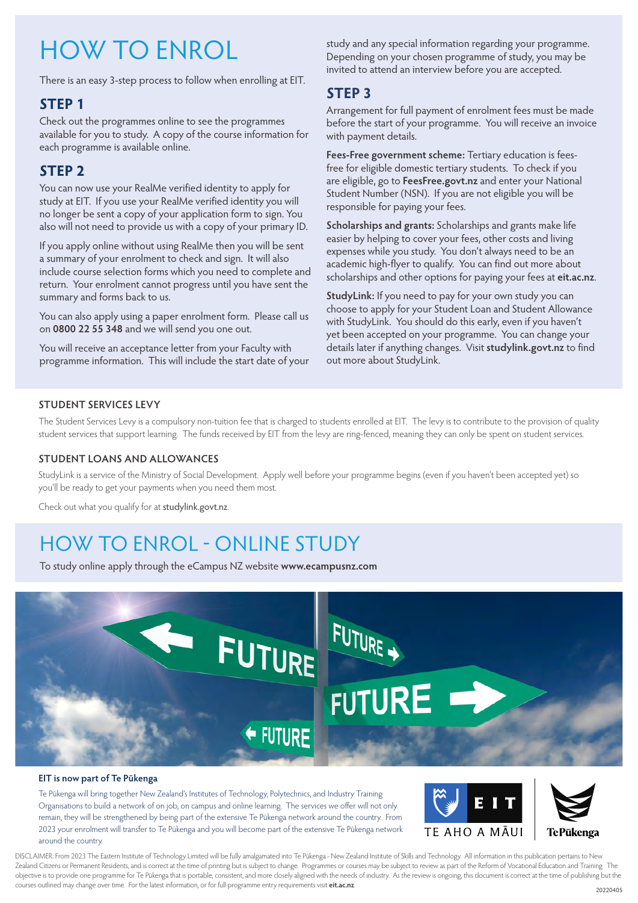# HOW TO ENROL

There is an easy 3-step process to follow when enrolling at EIT.

#### **STEP 1**

Check out the programmes online to see the programmes available for you to study. A copy of the course information for each programme is available online.

### **STEP 2**

You can now use your RealMe verified identity to apply for study at EIT. If you use your RealMe verified identity you will no longer be sent a copy of your application form to sign. You also will not need to provide us with a copy of your primary ID.

If you apply online without using RealMe then you will be sent a summary of your enrolment to check and sign. It will also include course selection forms which you need to complete and return. Your enrolment cannot progress until you have sent the summary and forms back to us.

You can also apply using a paper enrolment form. Please call us on **0800 22 55 348** and we will send you one out.

You will receive an acceptance letter from your Faculty with programme information. This will include the start date of your study and any special information regarding your programme. Depending on your chosen programme of study, you may be invited to attend an interview before you are accepted.

### **STEP 3**

Arrangement for full payment of enrolment fees must be made before the start of your programme. You will receive an invoice with payment details.

**Fees-Free government scheme:** Tertiary education is feesfree for eligible domestic tertiary students. To check if you are eligible, go to **[FeesFree.govt.nz](http://FeesFree.govt.nz)** and enter your National Student Number (NSN). If you are not eligible you will be responsible for paying your fees.

**Scholarships and grants:** Scholarships and grants make life easier by helping to cover your fees, other costs and living expenses while you study. You don't always need to be an academic high-flyer to qualify. You can find out more about scholarships and other options for paying your fees at **[eit.ac.nz](https://www.eit.ac.nz/students/scholarships-2/)**.

**StudyLink:** If you need to pay for your own study you can choose to apply for your Student Loan and Student Allowance with StudyLink. You should do this early, even if you haven't yet been accepted on your programme. You can change your details later if anything changes. Visit **[studylink.govt.nz](http://studylink.govt.nz)** to find out more about StudyLink.

#### **STUDENT SERVICES LEVY**

The Student Services Levy is a compulsory non-tuition fee that is charged to students enrolled at EIT. The levy is to contribute to the provision of quality student services that support learning. The funds received by EIT from the levy are ring-fenced, meaning they can only be spent on student services.

#### **STUDENT LOANS AND ALLOWANCES**

StudyLink is a service of the Ministry of Social Development. Apply well before your programme begins (even if you haven't been accepted yet) so you'll be ready to get your payments when you need them most.

Check out what you qualify for at [studylink.govt.nz](http://studylink.govt.nz).

## HOW TO ENROL - ONLINE STUDY

To study online apply through the eCampus NZ website **[www.ecampusnz.com](https://www.ecampusnz.com/apply-now/?itp=eit )**



#### **EIT is now part of Te Pūkenga**

Te Pūkenga will bring together New Zealand's Institutes of Technology, Polytechnics, and Industry Training Organisations to build a network of on job, on campus and online learning. The services we offer will not only remain, they will be strengthened by being part of the extensive Te Pūkenga network around the country. From 2023 your enrolment will transfer to Te Pūkenga and you will become part of the extensive Te Pūkenga network around the country.



DISCLAIMER: From 2023 The Eastern Institute of Technology Limited will be fully amalgamated into Te Pūkenga - New Zealand Institute of Skills and Technology. All information in this publication pertains to New Zealand Citizens or Permanent Residents, and is correct at the time of printing but is subject to change. Programmes or courses may be subject to review as part of the Reform of Vocational Education and Training. The objective is to provide one programme for Te Pūkenga that is portable, consistent, and more closely aligned with the needs of industry. As the review is ongoing, this document is correct at the time of publishing but the courses outlined may change over time. For the latest information, or for full programme entry requirements visit **[eit.ac.nz](https://www.eit.ac.nz)**.